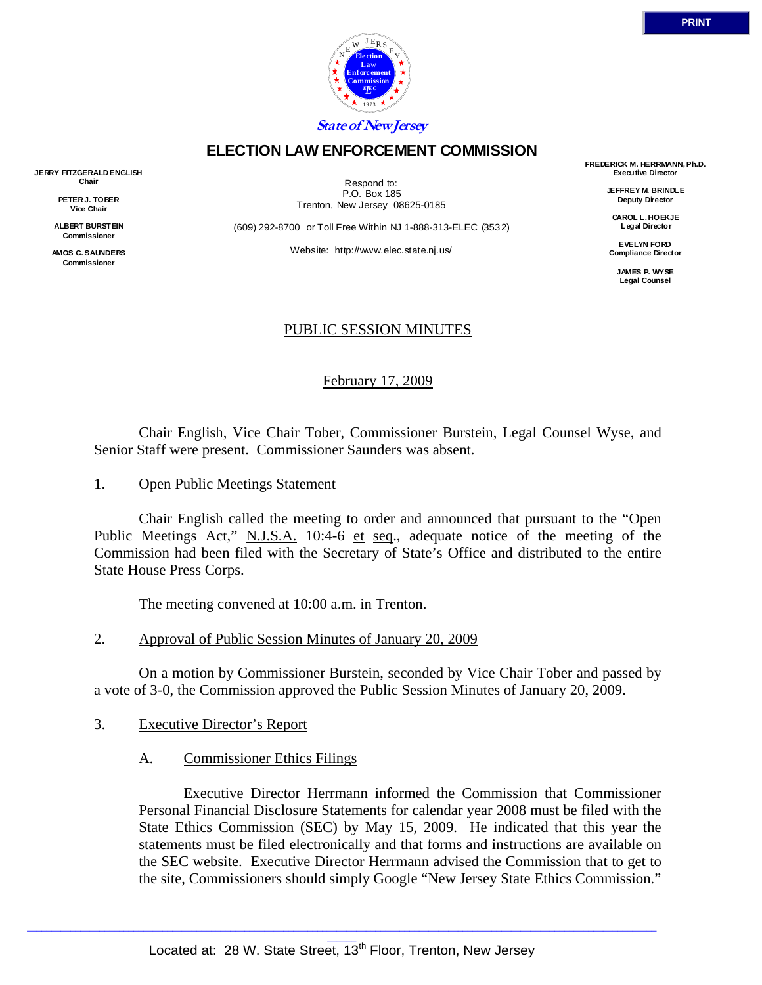

# **ELECTION LAW ENFORCEMENT COMMISSION**

**JERRY FITZGERALD ENGLISH Chair** 

> **PETER J. TOBER Vice Chair**

**ALBERT BURSTEIN Commissioner** 

**AMOS C. SAUNDERS Commissioner** 

Respond to: P.O. Box 185 Trenton, New Jersey 08625-0185

(609) 292-8700 or Toll Free Within NJ 1-888-313-ELEC (3532)

Website: http://www.elec.state.nj.us/

**FREDERICK M. HERRMANN, Ph.D. Executive Director** 

> **JEFFREY M. BRINDLE Deputy Director**

**CAROL L. HOEKJE Legal Director** 

**EVELYN FORD Compliance Director** 

> **JAMES P. WYSE Legal Counsel**

# PUBLIC SESSION MINUTES

February 17, 2009

 Chair English, Vice Chair Tober, Commissioner Burstein, Legal Counsel Wyse, and Senior Staff were present. Commissioner Saunders was absent.

1. Open Public Meetings Statement

 Chair English called the meeting to order and announced that pursuant to the "Open Public Meetings Act," N.J.S.A. 10:4-6 et seq., adequate notice of the meeting of the Commission had been filed with the Secretary of State's Office and distributed to the entire State House Press Corps.

The meeting convened at 10:00 a.m. in Trenton.

2. Approval of Public Session Minutes of January 20, 2009

 On a motion by Commissioner Burstein, seconded by Vice Chair Tober and passed by a vote of 3-0, the Commission approved the Public Session Minutes of January 20, 2009.

- 3. Executive Director's Report
	- A. Commissioner Ethics Filings

 Executive Director Herrmann informed the Commission that Commissioner Personal Financial Disclosure Statements for calendar year 2008 must be filed with the State Ethics Commission (SEC) by May 15, 2009. He indicated that this year the statements must be filed electronically and that forms and instructions are available on the SEC website. Executive Director Herrmann advised the Commission that to get to the site, Commissioners should simply Google "New Jersey State Ethics Commission."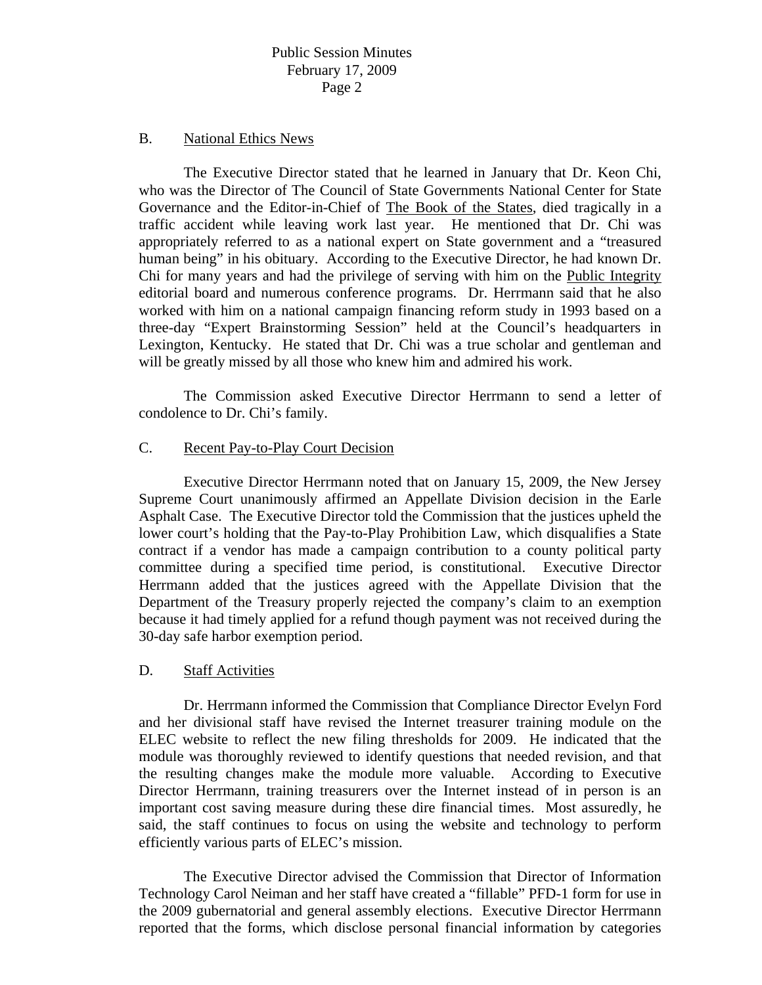## B. National Ethics News

 The Executive Director stated that he learned in January that Dr. Keon Chi, who was the Director of The Council of State Governments National Center for State Governance and the Editor-in-Chief of The Book of the States, died tragically in a traffic accident while leaving work last year. He mentioned that Dr. Chi was appropriately referred to as a national expert on State government and a "treasured human being" in his obituary. According to the Executive Director, he had known Dr. Chi for many years and had the privilege of serving with him on the Public Integrity editorial board and numerous conference programs. Dr. Herrmann said that he also worked with him on a national campaign financing reform study in 1993 based on a three-day "Expert Brainstorming Session" held at the Council's headquarters in Lexington, Kentucky. He stated that Dr. Chi was a true scholar and gentleman and will be greatly missed by all those who knew him and admired his work.

 The Commission asked Executive Director Herrmann to send a letter of condolence to Dr. Chi's family.

# C. Recent Pay-to-Play Court Decision

 Executive Director Herrmann noted that on January 15, 2009, the New Jersey Supreme Court unanimously affirmed an Appellate Division decision in the Earle Asphalt Case. The Executive Director told the Commission that the justices upheld the lower court's holding that the Pay-to-Play Prohibition Law, which disqualifies a State contract if a vendor has made a campaign contribution to a county political party committee during a specified time period, is constitutional. Executive Director Herrmann added that the justices agreed with the Appellate Division that the Department of the Treasury properly rejected the company's claim to an exemption because it had timely applied for a refund though payment was not received during the 30-day safe harbor exemption period.

### D. Staff Activities

 Dr. Herrmann informed the Commission that Compliance Director Evelyn Ford and her divisional staff have revised the Internet treasurer training module on the ELEC website to reflect the new filing thresholds for 2009. He indicated that the module was thoroughly reviewed to identify questions that needed revision, and that the resulting changes make the module more valuable. According to Executive Director Herrmann, training treasurers over the Internet instead of in person is an important cost saving measure during these dire financial times. Most assuredly, he said, the staff continues to focus on using the website and technology to perform efficiently various parts of ELEC's mission.

 The Executive Director advised the Commission that Director of Information Technology Carol Neiman and her staff have created a "fillable" PFD-1 form for use in the 2009 gubernatorial and general assembly elections. Executive Director Herrmann reported that the forms, which disclose personal financial information by categories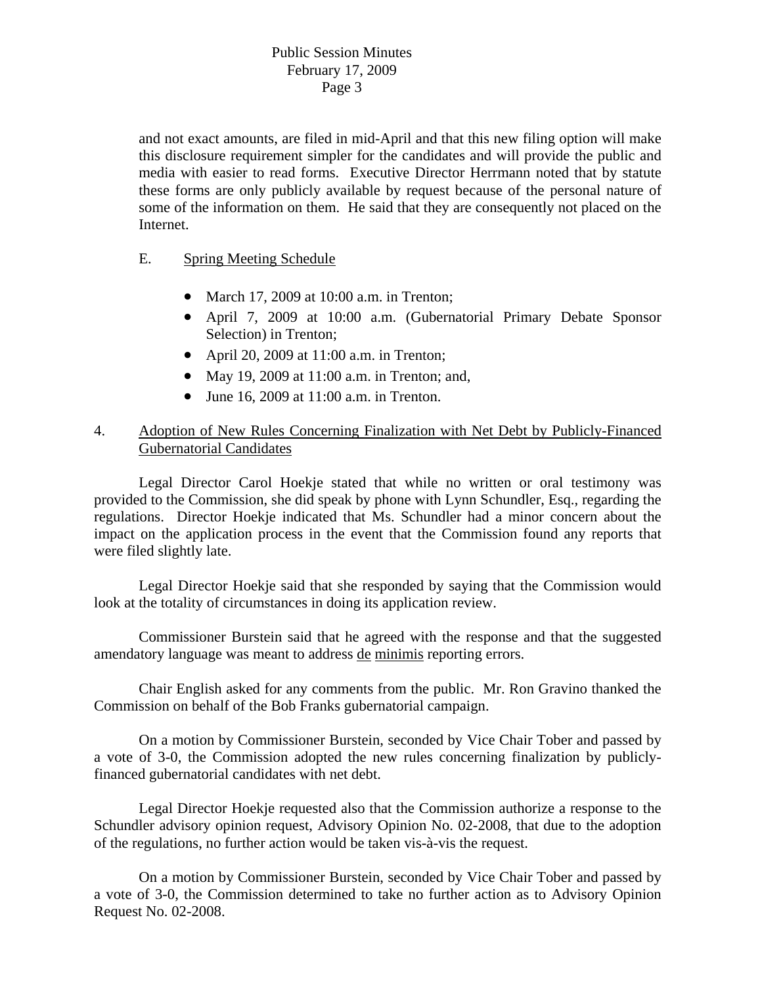and not exact amounts, are filed in mid-April and that this new filing option will make this disclosure requirement simpler for the candidates and will provide the public and media with easier to read forms. Executive Director Herrmann noted that by statute these forms are only publicly available by request because of the personal nature of some of the information on them. He said that they are consequently not placed on the Internet.

- E. Spring Meeting Schedule
	- March 17, 2009 at 10:00 a.m. in Trenton;
	- April 7, 2009 at 10:00 a.m. (Gubernatorial Primary Debate Sponsor Selection) in Trenton;
	- April 20, 2009 at 11:00 a.m. in Trenton;
	- May 19, 2009 at 11:00 a.m. in Trenton; and,
	- June 16, 2009 at 11:00 a.m. in Trenton.

# 4. Adoption of New Rules Concerning Finalization with Net Debt by Publicly-Financed Gubernatorial Candidates

 Legal Director Carol Hoekje stated that while no written or oral testimony was provided to the Commission, she did speak by phone with Lynn Schundler, Esq., regarding the regulations. Director Hoekje indicated that Ms. Schundler had a minor concern about the impact on the application process in the event that the Commission found any reports that were filed slightly late.

 Legal Director Hoekje said that she responded by saying that the Commission would look at the totality of circumstances in doing its application review.

 Commissioner Burstein said that he agreed with the response and that the suggested amendatory language was meant to address de minimis reporting errors.

 Chair English asked for any comments from the public. Mr. Ron Gravino thanked the Commission on behalf of the Bob Franks gubernatorial campaign.

 On a motion by Commissioner Burstein, seconded by Vice Chair Tober and passed by a vote of 3-0, the Commission adopted the new rules concerning finalization by publiclyfinanced gubernatorial candidates with net debt.

 Legal Director Hoekje requested also that the Commission authorize a response to the Schundler advisory opinion request, Advisory Opinion No. 02-2008, that due to the adoption of the regulations, no further action would be taken vis-à-vis the request.

 On a motion by Commissioner Burstein, seconded by Vice Chair Tober and passed by a vote of 3-0, the Commission determined to take no further action as to Advisory Opinion Request No. 02-2008.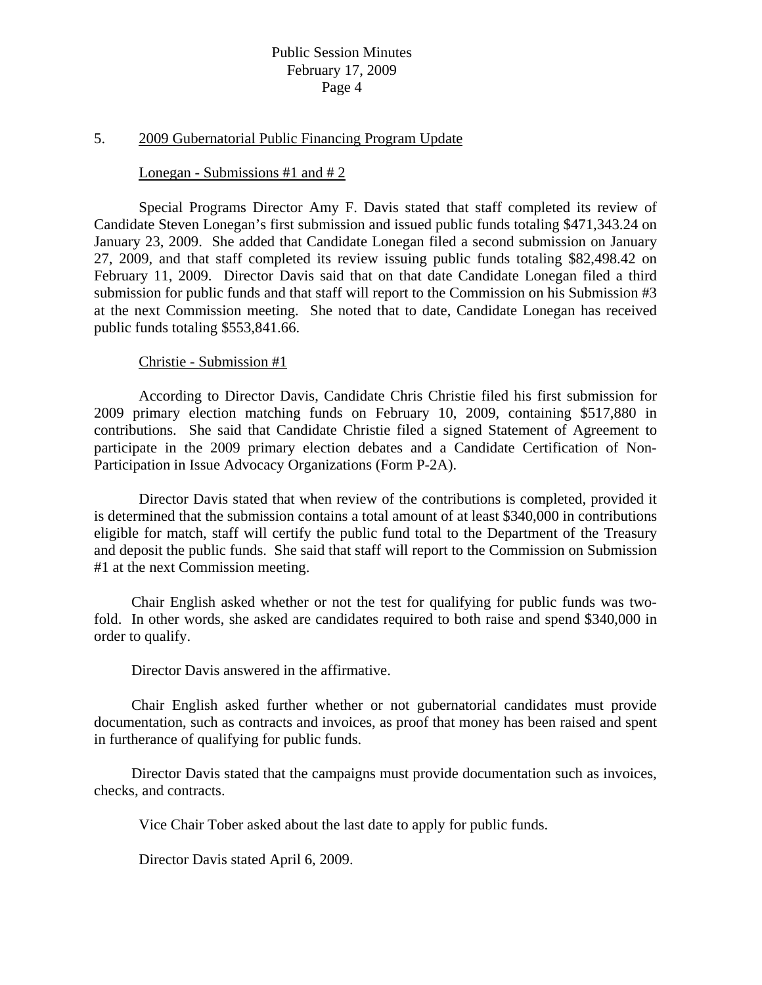# Public Session Minutes February 17, 2009 Page 4

#### 5. 2009 Gubernatorial Public Financing Program Update

#### Lonegan - Submissions #1 and # 2

 Special Programs Director Amy F. Davis stated that staff completed its review of Candidate Steven Lonegan's first submission and issued public funds totaling \$471,343.24 on January 23, 2009. She added that Candidate Lonegan filed a second submission on January 27, 2009, and that staff completed its review issuing public funds totaling \$82,498.42 on February 11, 2009. Director Davis said that on that date Candidate Lonegan filed a third submission for public funds and that staff will report to the Commission on his Submission #3 at the next Commission meeting. She noted that to date, Candidate Lonegan has received public funds totaling \$553,841.66.

### Christie - Submission #1

 According to Director Davis, Candidate Chris Christie filed his first submission for 2009 primary election matching funds on February 10, 2009, containing \$517,880 in contributions. She said that Candidate Christie filed a signed Statement of Agreement to participate in the 2009 primary election debates and a Candidate Certification of Non-Participation in Issue Advocacy Organizations (Form P-2A).

 Director Davis stated that when review of the contributions is completed, provided it is determined that the submission contains a total amount of at least \$340,000 in contributions eligible for match, staff will certify the public fund total to the Department of the Treasury and deposit the public funds. She said that staff will report to the Commission on Submission #1 at the next Commission meeting.

 Chair English asked whether or not the test for qualifying for public funds was twofold. In other words, she asked are candidates required to both raise and spend \$340,000 in order to qualify.

Director Davis answered in the affirmative.

 Chair English asked further whether or not gubernatorial candidates must provide documentation, such as contracts and invoices, as proof that money has been raised and spent in furtherance of qualifying for public funds.

 Director Davis stated that the campaigns must provide documentation such as invoices, checks, and contracts.

Vice Chair Tober asked about the last date to apply for public funds.

Director Davis stated April 6, 2009.